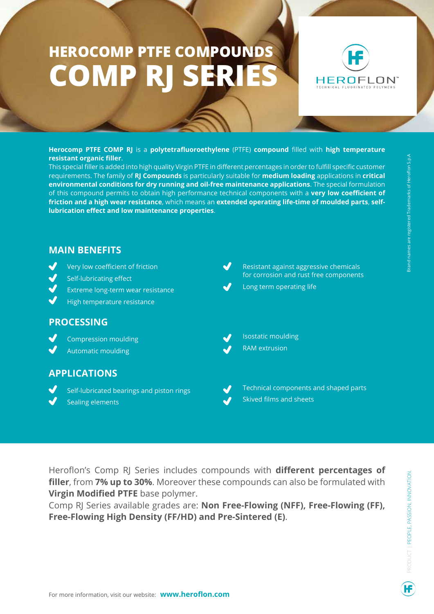## **HEROCOMP PTFE COMPOUNDS COMP RJ SERIES**



**Herocomp PTFE COMP RJ** is a **polytetrafluoroethylene** (PTFE) **compound** filled with **high temperature resistant organic filler**.

This special filler is added into high quality Virgin PTFE in different percentages in order to fulfill specific customer requirements. The family of **RJ Compounds** is particularly suitable for **medium loading** applications in **critical environmental conditions for dry running and oil-free maintenance applications**. The special formulation of this compound permits to obtain high performance technical components with a **very low coefficient of friction and a high wear resistance**, which means an **extended operating life-time of moulded parts**, **selflubrication effect and low maintenance properties**.



Heroflon's Comp RJ Series includes compounds with **different percentages of filler**, from **7% up to 30%**. Moreover these compounds can also be formulated with **Virgin Modified PTFE** base polymer.

Comp RJ Series available grades are: **Non Free-Flowing (NFF), Free-Flowing (FF), Free-Flowing High Density (FF/HD) and Pre-Sintered (E)**.